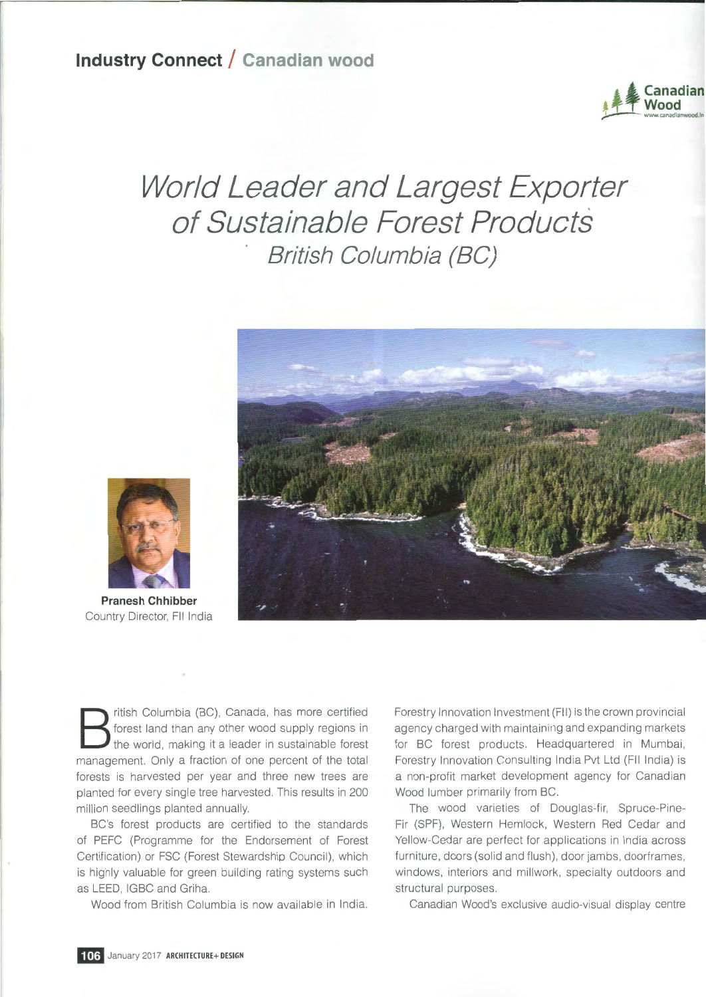

## **World Leader and Largest Exporter of Sustainable Forest Products British Columbia (BC)**





**Pranesh Chhibber**  Country Director, FII India

B ritish Columbia (BC), Canada, has more certified<br>forest land than any other wood supply regions in<br>the world, making it a leader in sustainable forest<br>management. Only a fraction of one percent of the total forest land than any other wood supply regions in the world, making it a leader in sustainable forest management. Only a fraction of one percent of the total forests is harvested per year and three new trees are planted for every single tree harvested. This results in 200 million seedlings planted annually.

BC's forest products are certified to the standards of PEFC (Programme for the Endorsement of Forest Certification) or FSC (Forest Stewardship Council), which is highly valuable for green building rating systems such as LEED, IGBC and Griha.

Wood from British Columbia is now available in India.

Forestry Innovation Investment (FII) is the crown provincial agency charged with maintaining and expanding markets for BC forest products. Headquartered in Mumbai, Forestry Innovation Consulting India Pvt Ltd **(FII** India) is a non-profit market development agency for Canadian Wood lumber primarily from BC.

The wood varieties of Douglas-fir, Spruce-Pine-Fir (SPF), Western Hemlock, Western Red Cedar and Yellow-Cedar are perfect for applications **in** India across furniture, doors (solid and flush), door jambs, doorframes, windows, interiors and millwork, specialty outdoors and structural purposes .

Canadian Wood's exclusive audio-visual display centre